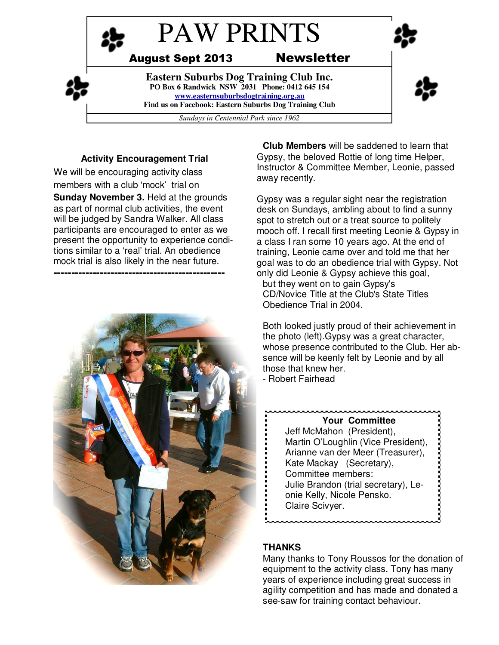

## **Activity Encouragement Trial**

We will be encouraging activity class members with a club 'mock' trial on **Sunday November 3.** Held at the grounds as part of normal club activities, the event will be judged by Sandra Walker. All class participants are encouraged to enter as we present the opportunity to experience conditions similar to a 'real' trial. An obedience mock trial is also likely in the near future. **------------------------------------------------** 



**Club Members** will be saddened to learn that Gypsy, the beloved Rottie of long time Helper, Instructor & Committee Member, Leonie, passed away recently.

Gypsy was a regular sight near the registration desk on Sundays, ambling about to find a sunny spot to stretch out or a treat source to politely mooch off. I recall first meeting Leonie & Gypsy in a class I ran some 10 years ago. At the end of training, Leonie came over and told me that her goal was to do an obedience trial with Gypsy. Not only did Leonie & Gypsy achieve this goal,

but they went on to gain Gypsy's CD/Novice Title at the Club's State Titles Obedience Trial in 2004.

Both looked justly proud of their achievement in the photo (left).Gypsy was a great character, whose presence contributed to the Club. Her absence will be keenly felt by Leonie and by all those that knew her.

- Robert Fairhead

**Your Committee** Jeff McMahon (President), Martin O'Loughlin (Vice President), Arianne van der Meer (Treasurer), Kate Mackay (Secretary), Committee members: Julie Brandon (trial secretary), Leonie Kelly, Nicole Pensko. Claire Scivyer.

## **THANKS**

Many thanks to Tony Roussos for the donation of equipment to the activity class. Tony has many years of experience including great success in agility competition and has made and donated a see-saw for training contact behaviour.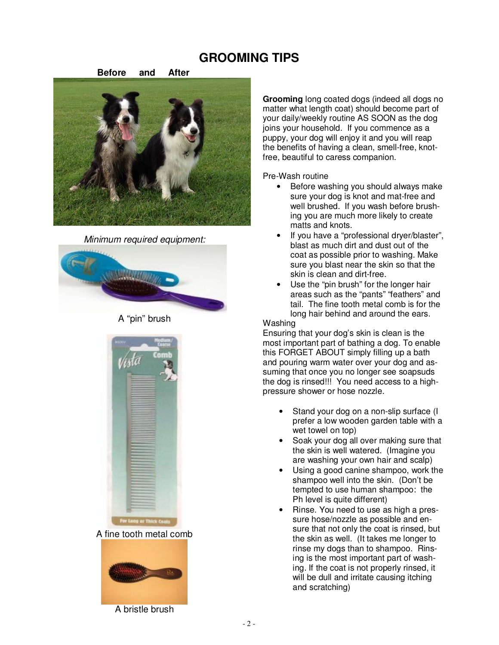# **GROOMING TIPS**



*Minimum required equipment:* 



A "pin" brush





**Grooming** long coated dogs (indeed all dogs no matter what length coat) should become part of your daily/weekly routine AS SOON as the dog joins your household. If you commence as a puppy, your dog will enjoy it and you will reap the benefits of having a clean, smell-free, knotfree, beautiful to caress companion.

Pre-Wash routine

- Before washing you should always make sure your dog is knot and mat-free and well brushed. If you wash before brushing you are much more likely to create matts and knots.
- If you have a "professional dryer/blaster", blast as much dirt and dust out of the coat as possible prior to washing. Make sure you blast near the skin so that the skin is clean and dirt-free.
- Use the "pin brush" for the longer hair areas such as the "pants" "feathers" and tail. The fine tooth metal comb is for the long hair behind and around the ears.

#### **Washing**

Ensuring that your dog's skin is clean is the most important part of bathing a dog. To enable this FORGET ABOUT simply filling up a bath and pouring warm water over your dog and assuming that once you no longer see soapsuds the dog is rinsed!!! You need access to a highpressure shower or hose nozzle.

- Stand your dog on a non-slip surface (I prefer a low wooden garden table with a wet towel on top)
- Soak your dog all over making sure that the skin is well watered. (Imagine you are washing your own hair and scalp)
- Using a good canine shampoo, work the shampoo well into the skin. (Don't be tempted to use human shampoo: the Ph level is quite different)
- Rinse. You need to use as high a pressure hose/nozzle as possible and ensure that not only the coat is rinsed, but the skin as well. (It takes me longer to rinse my dogs than to shampoo. Rinsing is the most important part of washing. If the coat is not properly rinsed, it will be dull and irritate causing itching and scratching)

A bristle brush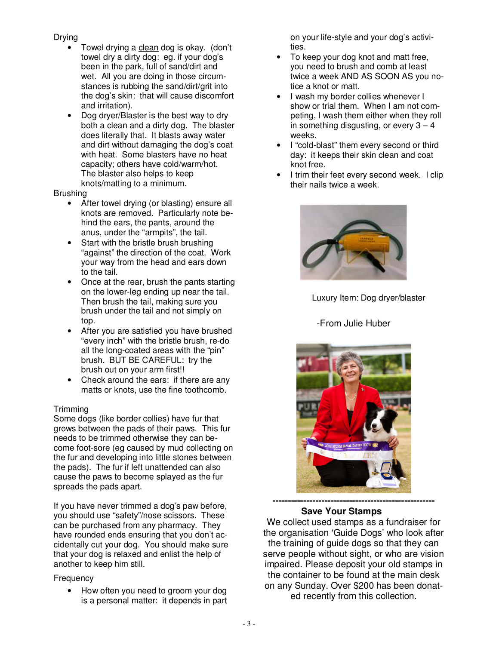#### Drying

- Towel drying a clean dog is okay. (don't towel dry a dirty dog: eg. if your dog's been in the park, full of sand/dirt and wet. All you are doing in those circumstances is rubbing the sand/dirt/grit into the dog's skin: that will cause discomfort and irritation).
- Dog dryer/Blaster is the best way to dry both a clean and a dirty dog. The blaster does literally that. It blasts away water and dirt without damaging the dog's coat with heat. Some blasters have no heat capacity; others have cold/warm/hot. The blaster also helps to keep knots/matting to a minimum.

#### **Brushing**

- After towel drying (or blasting) ensure all knots are removed. Particularly note behind the ears, the pants, around the anus, under the "armpits", the tail.
- Start with the bristle brush brushing "against" the direction of the coat. Work your way from the head and ears down to the tail.
- Once at the rear, brush the pants starting on the lower-leg ending up near the tail. Then brush the tail, making sure you brush under the tail and not simply on top.
- After you are satisfied you have brushed "every inch" with the bristle brush, re-do all the long-coated areas with the "pin" brush. BUT BE CAREFUL: try the brush out on your arm first!!
- Check around the ears: if there are any matts or knots, use the fine toothcomb.

## Trimming

Some dogs (like border collies) have fur that grows between the pads of their paws. This fur needs to be trimmed otherwise they can become foot-sore (eg caused by mud collecting on the fur and developing into little stones between the pads). The fur if left unattended can also cause the paws to become splayed as the fur spreads the pads apart.

If you have never trimmed a dog's paw before, you should use "safety"/nose scissors. These can be purchased from any pharmacy. They have rounded ends ensuring that you don't accidentally cut your dog. You should make sure that your dog is relaxed and enlist the help of another to keep him still.

#### Frequency

• How often you need to groom your dog is a personal matter: it depends in part on your life-style and your dog's activities.

- To keep your dog knot and matt free, you need to brush and comb at least twice a week AND AS SOON AS you notice a knot or matt.
- I wash my border collies whenever I show or trial them. When I am not competing, I wash them either when they roll in something disgusting, or every  $3 - 4$ weeks.
- I "cold-blast" them every second or third day: it keeps their skin clean and coat knot free.
- I trim their feet every second week. I clip their nails twice a week.



Luxury Item: Dog dryer/blaster

## -From Julie Huber



#### **Save Your Stamps**

We collect used stamps as a fundraiser for the organisation 'Guide Dogs' who look after the training of guide dogs so that they can serve people without sight, or who are vision impaired. Please deposit your old stamps in the container to be found at the main desk on any Sunday. Over \$200 has been donated recently from this collection.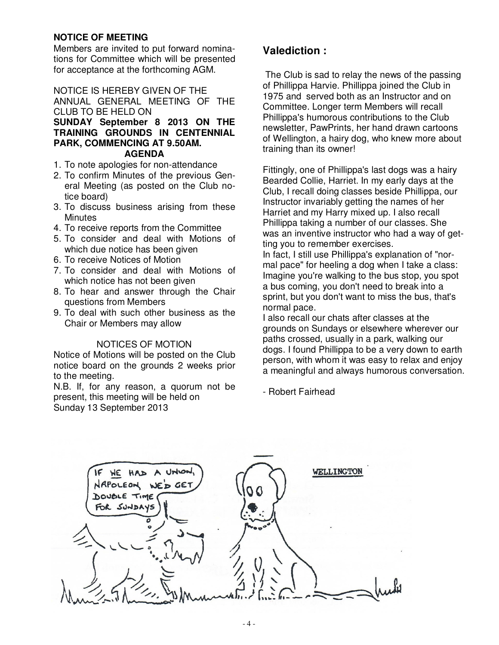## **NOTICE OF MEETING**

Members are invited to put forward nominations for Committee which will be presented for acceptance at the forthcoming AGM.

### NOTICE IS HEREBY GIVEN OF THE

ANNUAL GENERAL MEETING OF THE CLUB TO BE HELD ON

**SUNDAY September 8 2013 ON THE TRAINING GROUNDS IN CENTENNIAL PARK, COMMENCING AT 9.50AM. AGENDA**

- 1. To note apologies for non-attendance
- 2. To confirm Minutes of the previous General Meeting (as posted on the Club notice board)
- 3. To discuss business arising from these **Minutes**
- 4. To receive reports from the Committee
- 5. To consider and deal with Motions of which due notice has been given
- 6. To receive Notices of Motion
- 7. To consider and deal with Motions of which notice has not been given
- 8. To hear and answer through the Chair questions from Members
- 9. To deal with such other business as the Chair or Members may allow

#### NOTICES OF MOTION

Notice of Motions will be posted on the Club notice board on the grounds 2 weeks prior to the meeting.

N.B. If, for any reason, a quorum not be present, this meeting will be held on Sunday 13 September 2013

# **Valediction :**

 The Club is sad to relay the news of the passing of Phillippa Harvie. Phillippa joined the Club in 1975 and served both as an Instructor and on Committee. Longer term Members will recall Phillippa's humorous contributions to the Club newsletter, PawPrints, her hand drawn cartoons of Wellington, a hairy dog, who knew more about training than its owner!

Fittingly, one of Phillippa's last dogs was a hairy Bearded Collie, Harriet. In my early days at the Club, I recall doing classes beside Phillippa, our Instructor invariably getting the names of her Harriet and my Harry mixed up. I also recall Phillippa taking a number of our classes. She was an inventive instructor who had a way of getting you to remember exercises.

In fact, I still use Phillippa's explanation of "normal pace" for heeling a dog when I take a class: Imagine you're walking to the bus stop, you spot a bus coming, you don't need to break into a sprint, but you don't want to miss the bus, that's normal pace.

I also recall our chats after classes at the grounds on Sundays or elsewhere wherever our paths crossed, usually in a park, walking our dogs. I found Phillippa to be a very down to earth person, with whom it was easy to relax and enjoy a meaningful and always humorous conversation.

- Robert Fairhead

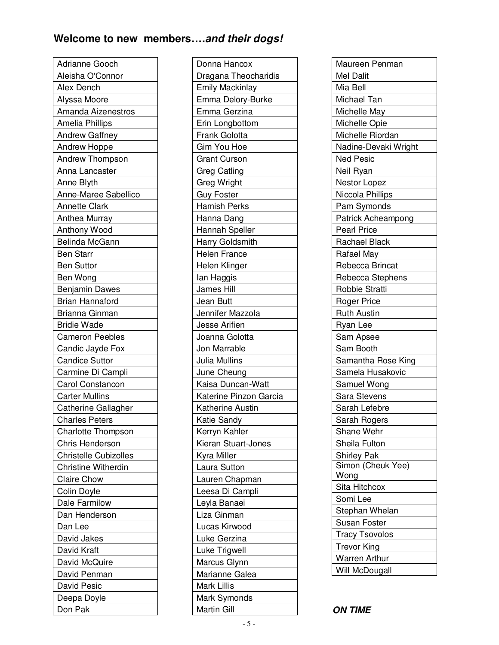# **Welcome to new members….and their dogs!**

| Adrianne Gooch         |
|------------------------|
| Aleisha O'Connor       |
| Alex Dench             |
| Alyssa Moore           |
| Amanda Aizenestros     |
| Amelia Phillips        |
|                        |
| <b>Andrew Gaffney</b>  |
| Andrew Hoppe           |
| Andrew Thompson        |
| Anna Lancaster         |
| Anne Blyth             |
| Anne-Maree Sabellico   |
| Annette Clark          |
| Anthea Murray          |
| Anthony Wood           |
| <b>Belinda McGann</b>  |
| <b>Ben Starr</b>       |
| <b>Ben Suttor</b>      |
| Ben Wong               |
| <b>Benjamin Dawes</b>  |
| <b>Brian Hannaford</b> |
| Brianna Ginman         |
| <b>Bridie Wade</b>     |
| <b>Cameron Peebles</b> |
| Candic Jayde Fox       |
| <b>Candice Suttor</b>  |
| Carmine Di Campli      |
| Carol Constancon       |
| <b>Carter Mullins</b>  |
| Catherine Gallagher    |
| <b>Charles Peters</b>  |
| Charlotte Thompson     |
| <b>Chris Henderson</b> |
| Christelle Cubizolles  |
| Christine Witherdin    |
| <b>Claire Chow</b>     |
| Colin Doyle            |
| Dale Farmilow          |
| Dan Henderson          |
| Dan Lee                |
| David Jakes            |
| David Kraft            |
| David McQuire          |
| David Penman           |
| David Pesic            |
| Deepa Doyle            |
| Don Pak                |
|                        |

| Donna Hancox           |
|------------------------|
| Dragana Theocharidis   |
| <b>Emily Mackinlay</b> |
| Emma Delory-Burke      |
| Emma Gerzina           |
| Erin Longbottom        |
| Frank Golotta          |
| Gim You Hoe            |
| <b>Grant Curson</b>    |
| Greg Catling           |
| Greg Wright            |
| <b>Guy Foster</b>      |
| <b>Hamish Perks</b>    |
| Hanna Dang             |
| Hannah Speller         |
| Harry Goldsmith        |
| <b>Helen France</b>    |
| Helen Klinger          |
| lan Haggis             |
| <b>James Hill</b>      |
| Jean Butt              |
| Jennifer Mazzola       |
| Jesse Arifien          |
| Joanna Golotta         |
| Jon Marrable           |
| Julia Mullins          |
| June Cheung            |
| Kaisa Duncan-Watt      |
| Katerine Pinzon Garcia |
| Katherine Austin       |
| Katie Sandy            |
| Kerryn Kahler          |
| Kieran Stuart-Jones    |
| Kyra Miller            |
| Laura Sutton           |
| Lauren Chapman         |
| Leesa Di Campli        |
| Leyla Banaei           |
| Liza Ginman            |
| Lucas Kirwood          |
| Luke Gerzina           |
| Luke Trigwell          |
| Marcus Glynn           |
| Marianne Galea         |
| Mark Lillis            |
| Mark Symonds           |
| Martin Gill            |
|                        |

| Maureen Penman        |
|-----------------------|
| Mel Dalit             |
| Mia Bell              |
| Michael Tan           |
| Michelle May          |
| Michelle Opie         |
| Michelle Riordan      |
| Nadine-Devaki Wright  |
| <b>Ned Pesic</b>      |
| Neil Ryan             |
| Nestor Lopez          |
| Niccola Phillips      |
| Pam Symonds           |
| Patrick Acheampong    |
| <b>Pearl Price</b>    |
| Rachael Black         |
| Rafael May            |
| Rebecca Brincat       |
| Rebecca Stephens      |
| Robbie Stratti        |
| Roger Price           |
| <b>Ruth Austin</b>    |
| Ryan Lee              |
| Sam Apsee             |
| Sam Booth             |
| Samantha Rose King    |
| Samela Husakovic      |
| Samuel Wong           |
| Sara Stevens          |
| Sarah Lefebre         |
| Sarah Rogers          |
| Shane Wehr            |
| Sheila Fulton         |
| Shirley Pak           |
| Simon (Cheuk Yee)     |
| Wong                  |
| Sita Hitchcox         |
| Somi Lee              |
| Stephan Whelan        |
| Susan Foster          |
| <b>Tracy Tsovolos</b> |
| <b>Trevor King</b>    |
| Warren Arthur         |
| Will McDougall        |

**ON TIME**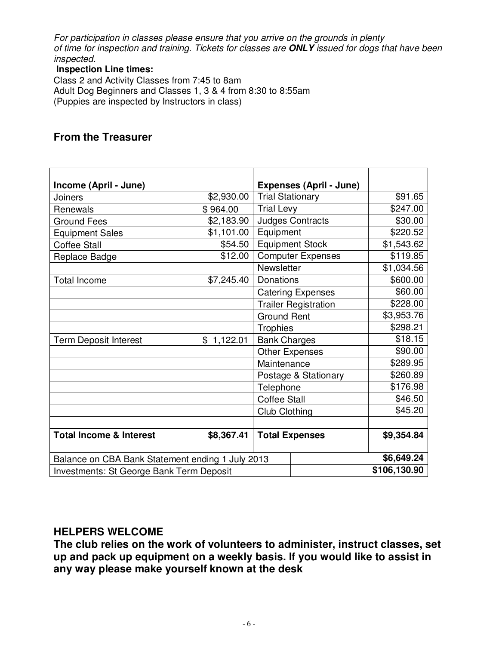*For participation in classes please ensure that you arrive on the grounds in plenty of time for inspection and training. Tickets for classes are* **ONLY** *issued for dogs that have been inspected.* 

## **Inspection Line times:**

Class 2 and Activity Classes from 7:45 to 8am Adult Dog Beginners and Classes 1, 3 & 4 from 8:30 to 8:55am (Puppies are inspected by Instructors in class)

# **From the Treasurer**

| Income (April - June)                                                     |            |                                                           |                             |              |
|---------------------------------------------------------------------------|------------|-----------------------------------------------------------|-----------------------------|--------------|
| Joiners                                                                   | \$2,930.00 | <b>Expenses (April - June)</b><br><b>Trial Stationary</b> |                             | \$91.65      |
| Renewals                                                                  | \$964.00   | <b>Trial Levy</b>                                         |                             | \$247.00     |
| <b>Ground Fees</b>                                                        | \$2,183.90 | <b>Judges Contracts</b>                                   |                             | \$30.00      |
| <b>Equipment Sales</b>                                                    | \$1,101.00 | Equipment                                                 |                             | \$220.52     |
| <b>Coffee Stall</b>                                                       | \$54.50    | <b>Equipment Stock</b>                                    |                             | \$1,543.62   |
| Replace Badge                                                             | \$12.00    | <b>Computer Expenses</b>                                  |                             | \$119.85     |
|                                                                           |            | Newsletter                                                |                             | \$1,034.56   |
| <b>Total Income</b>                                                       | \$7,245.40 | Donations                                                 |                             | \$600.00     |
|                                                                           |            |                                                           | <b>Catering Expenses</b>    | \$60.00      |
|                                                                           |            |                                                           | <b>Trailer Registration</b> | \$228.00     |
|                                                                           |            | <b>Ground Rent</b>                                        |                             | \$3,953.76   |
|                                                                           |            | <b>Trophies</b>                                           |                             | \$298.21     |
| <b>Term Deposit Interest</b>                                              | \$1,122.01 | <b>Bank Charges</b>                                       |                             | \$18.15      |
|                                                                           |            | <b>Other Expenses</b>                                     |                             | \$90.00      |
|                                                                           |            | Maintenance                                               |                             | \$289.95     |
|                                                                           |            | Postage & Stationary                                      |                             | \$260.89     |
|                                                                           |            | Telephone<br><b>Coffee Stall</b>                          |                             | \$176.98     |
|                                                                           |            |                                                           |                             | \$46.50      |
|                                                                           |            | Club Clothing                                             |                             | \$45.20      |
|                                                                           |            |                                                           |                             |              |
| <b>Total Expenses</b><br><b>Total Income &amp; Interest</b><br>\$8,367.41 |            |                                                           | \$9,354.84                  |              |
|                                                                           |            |                                                           |                             |              |
| Balance on CBA Bank Statement ending 1 July 2013                          |            |                                                           |                             | \$6,649.24   |
| Investments: St George Bank Term Deposit                                  |            |                                                           |                             | \$106,130.90 |

# **HELPERS WELCOME**

**The club relies on the work of volunteers to administer, instruct classes, set up and pack up equipment on a weekly basis. If you would like to assist in any way please make yourself known at the desk**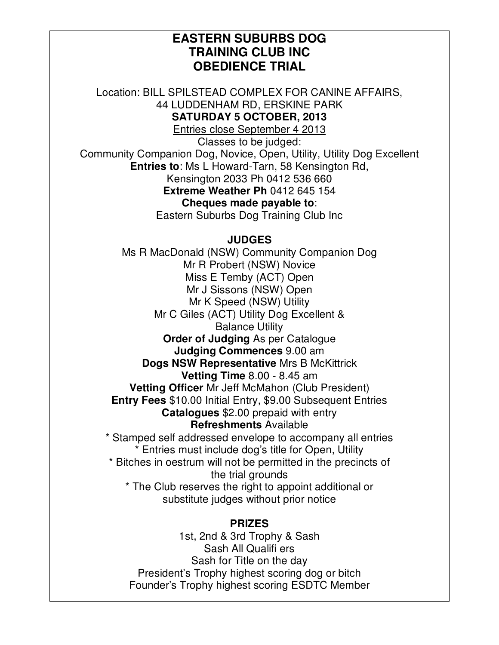# **EASTERN SUBURBS DOG TRAINING CLUB INC OBEDIENCE TRIAL**

Location: BILL SPILSTEAD COMPLEX FOR CANINE AFFAIRS, 44 LUDDENHAM RD, ERSKINE PARK **SATURDAY 5 OCTOBER, 2013** 

Entries close September 4 2013

Classes to be judged:

Community Companion Dog, Novice, Open, Utility, Utility Dog Excellent **Entries to**: Ms L Howard-Tarn, 58 Kensington Rd, Kensington 2033 Ph 0412 536 660

**Extreme Weather Ph** 0412 645 154

**Cheques made payable to**: Eastern Suburbs Dog Training Club Inc

## **JUDGES**

Ms R MacDonald (NSW) Community Companion Dog Mr R Probert (NSW) Novice Miss E Temby (ACT) Open Mr J Sissons (NSW) Open Mr K Speed (NSW) Utility Mr C Giles (ACT) Utility Dog Excellent & Balance Utility **Order of Judging** As per Catalogue **Judging Commences** 9.00 am **Dogs NSW Representative** Mrs B McKittrick **Vetting Time** 8.00 - 8.45 am **Vetting Officer** Mr Jeff McMahon (Club President) **Entry Fees** \$10.00 Initial Entry, \$9.00 Subsequent Entries **Catalogues** \$2.00 prepaid with entry **Refreshments** Available \* Stamped self addressed envelope to accompany all entries \* Entries must include dog's title for Open, Utility \* Bitches in oestrum will not be permitted in the precincts of the trial grounds

\* The Club reserves the right to appoint additional or substitute judges without prior notice

# **PRIZES**

1st, 2nd & 3rd Trophy & Sash Sash All Qualifi ers Sash for Title on the day President's Trophy highest scoring dog or bitch Founder's Trophy highest scoring ESDTC Member